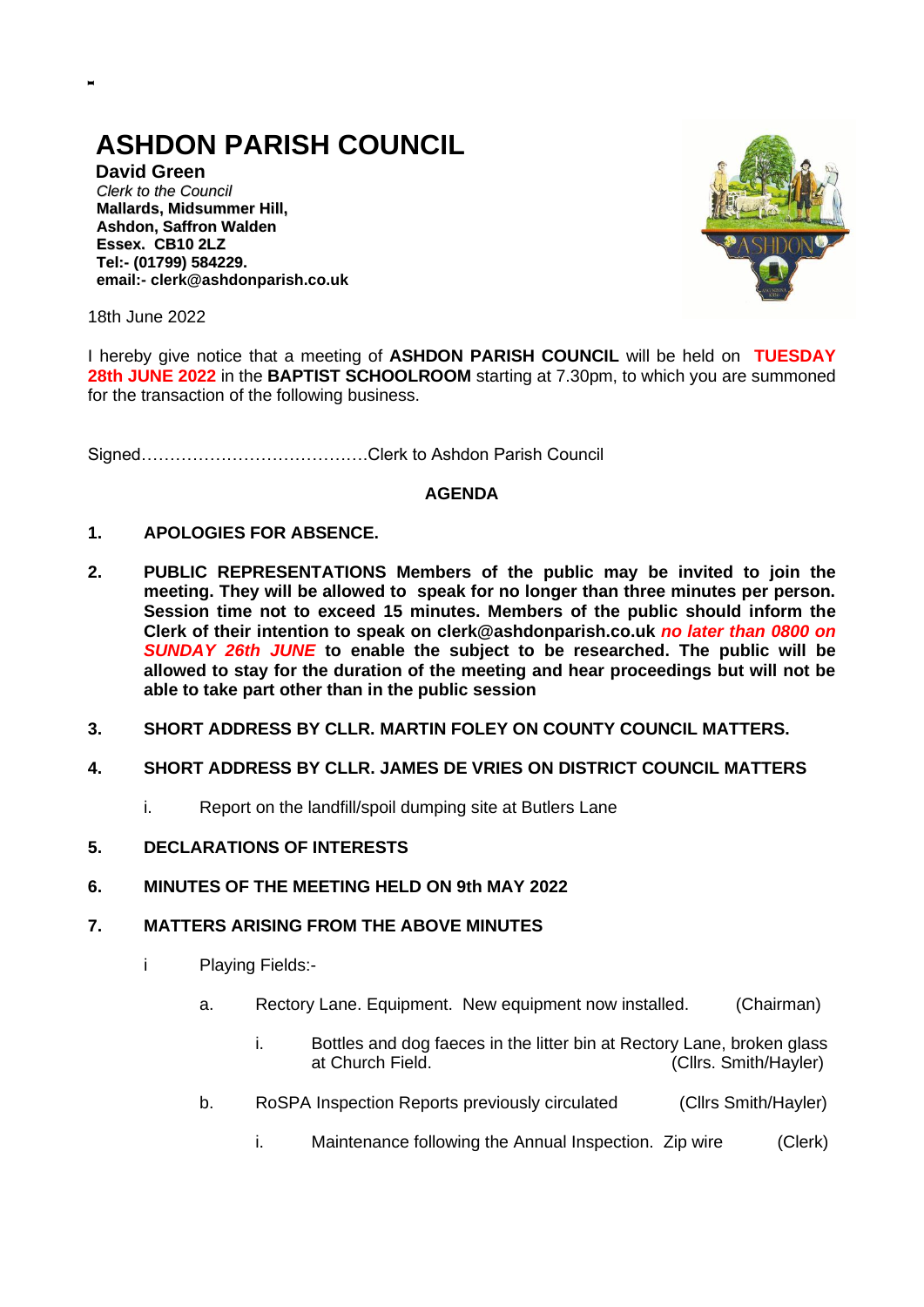# **ASHDON PARISH COUNCIL**

**David Green** *Clerk to the Council* **Mallards, Midsummer Hill, Ashdon, Saffron Walden Essex. CB10 2LZ Tel:- (01799) 584229. email:- clerk@ashdonparish.co.uk**



18th June 2022

**-**

I hereby give notice that a meeting of **ASHDON PARISH COUNCIL** will be held on **TUESDAY 28th JUNE 2022** in the **BAPTIST SCHOOLROOM** starting at 7.30pm, to which you are summoned for the transaction of the following business.

Signed………………………………….Clerk to Ashdon Parish Council

#### **AGENDA**

## **1. APOLOGIES FOR ABSENCE.**

- **2. PUBLIC REPRESENTATIONS Members of the public may be invited to join the meeting. They will be allowed to speak for no longer than three minutes per person. Session time not to exceed 15 minutes. Members of the public should inform the Clerk of their intention to speak on clerk@ashdonparish.co.uk** *no later than 0800 on SUNDAY 26th JUNE* **to enable the subject to be researched. The public will be allowed to stay for the duration of the meeting and hear proceedings but will not be able to take part other than in the public session**
- **3. SHORT ADDRESS BY CLLR. MARTIN FOLEY ON COUNTY COUNCIL MATTERS.**
- **4. SHORT ADDRESS BY CLLR. JAMES DE VRIES ON DISTRICT COUNCIL MATTERS**
	- i. Report on the landfill/spoil dumping site at Butlers Lane
- **5. DECLARATIONS OF INTERESTS**
- **6. MINUTES OF THE MEETING HELD ON 9th MAY 2022**

#### **7. MATTERS ARISING FROM THE ABOVE MINUTES**

- i Playing Fields:
	- a. Rectory Lane. Equipment. New equipment now installed. (Chairman)
		- i. Bottles and dog faeces in the litter bin at Rectory Lane, broken glass at Church Field. (Cllrs. Smith/Hayler)
	- b. RoSPA Inspection Reports previously circulated (Cllrs Smith/Hayler)
		- i. Maintenance following the Annual Inspection. Zip wire (Clerk)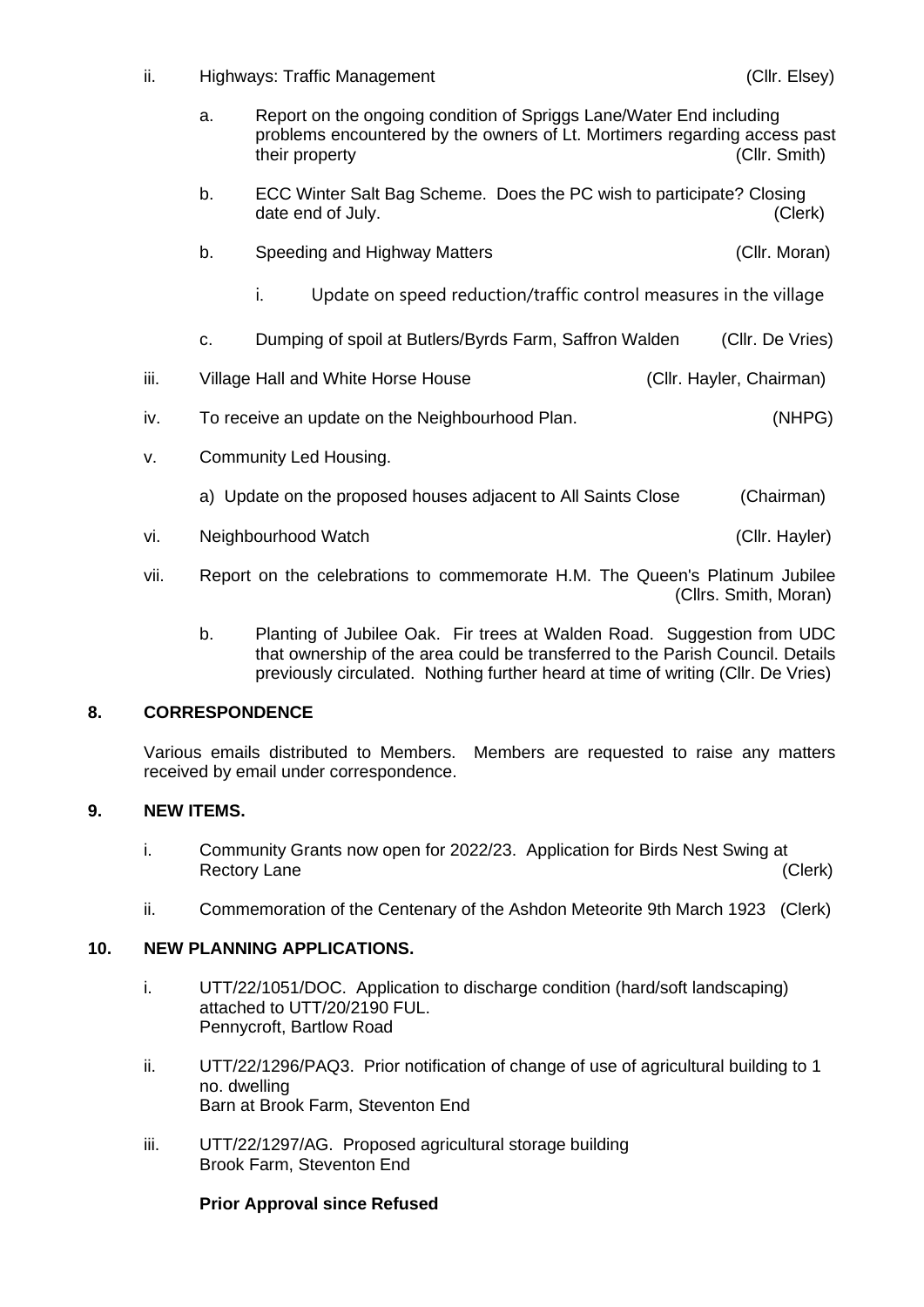ii. Highways: Traffic Management (Cllr. Elsey)

- a. Report on the ongoing condition of Spriggs Lane/Water End including problems encountered by the owners of Lt. Mortimers regarding access past their property (Cllr. Smith)
- b. ECC Winter Salt Bag Scheme. Does the PC wish to participate? Closing date end of July. (Clerk)

|  | Speeding and Highway Matters | (Cllr. Moran) |
|--|------------------------------|---------------|
|--|------------------------------|---------------|

- i. Update on speed reduction/traffic control measures in the village
- c. Dumping of spoil at Butlers/Byrds Farm, Saffron Walden (Cllr. De Vries)
- iii. Village Hall and White Horse House **Communist Click** (Cllr. Hayler, Chairman)
- iv. To receive an update on the Neighbourhood Plan. (NHPG)
- v. Community Led Housing.
	- a) Update on the proposed houses adjacent to All Saints Close (Chairman)
- vi. Neighbourhood Watch (Cllr. Hayler)
- vii. Report on the celebrations to commemorate H.M. The Queen's Platinum Jubilee (Cllrs. Smith, Moran)
	- b. Planting of Jubilee Oak. Fir trees at Walden Road. Suggestion from UDC that ownership of the area could be transferred to the Parish Council. Details previously circulated. Nothing further heard at time of writing (Cllr. De Vries)

## **8. CORRESPONDENCE**

Various emails distributed to Members. Members are requested to raise any matters received by email under correspondence.

## **9. NEW ITEMS.**

- i. Community Grants now open for 2022/23. Application for Birds Nest Swing at Rectory Lane (Clerk)
- ii. Commemoration of the Centenary of the Ashdon Meteorite 9th March 1923 (Clerk)

## **10. NEW PLANNING APPLICATIONS.**

- i. UTT/22/1051/DOC. Application to discharge condition (hard/soft landscaping) attached to UTT/20/2190 FUL. Pennycroft, Bartlow Road
- ii. UTT/22/1296/PAQ3. Prior notification of change of use of agricultural building to 1 no. dwelling Barn at Brook Farm, Steventon End
- iii. UTT/22/1297/AG. Proposed agricultural storage building Brook Farm, Steventon End

## **Prior Approval since Refused**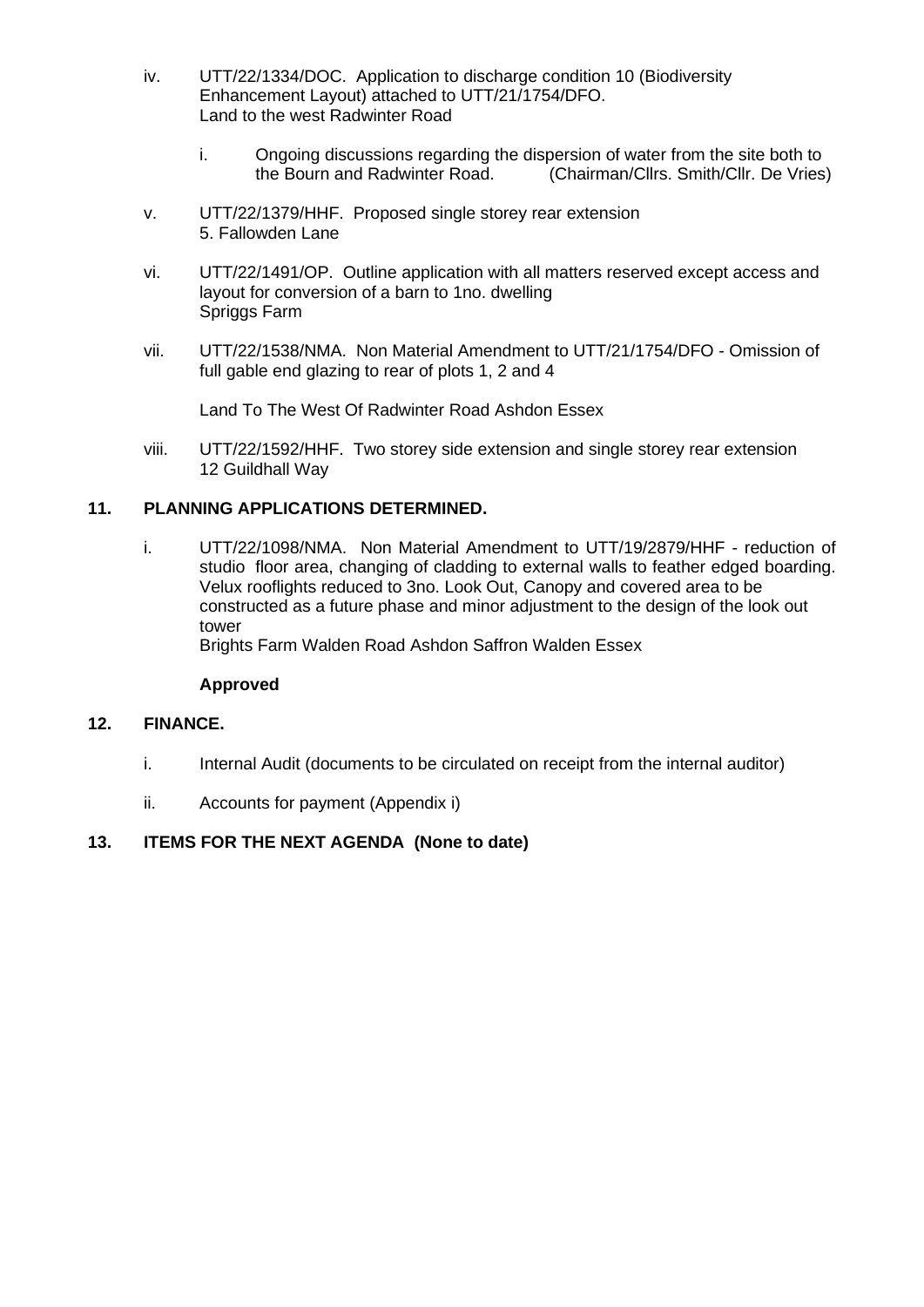- iv. UTT/22/1334/DOC. Application to discharge condition 10 (Biodiversity Enhancement Layout) attached to UTT/21/1754/DFO. Land to the west Radwinter Road
	- i. Ongoing discussions regarding the dispersion of water from the site both to the Bourn and Radwinter Road. (Chairman/Cllrs. Smith/Cllr. De Vries)
- v. UTT/22/1379/HHF. Proposed single storey rear extension 5. Fallowden Lane
- vi. UTT/22/1491/OP. Outline application with all matters reserved except access and layout for conversion of a barn to 1no. dwelling Spriggs Farm
- vii. UTT/22/1538/NMA. Non Material Amendment to UTT/21/1754/DFO Omission of full gable end glazing to rear of plots 1, 2 and 4

Land To The West Of Radwinter Road Ashdon Essex

viii. UTT/22/1592/HHF. Two storey side extension and single storey rear extension 12 Guildhall Way

## **11. PLANNING APPLICATIONS DETERMINED.**

i. UTT/22/1098/NMA. Non Material Amendment to UTT/19/2879/HHF - reduction of studio floor area, changing of cladding to external walls to feather edged boarding. Velux rooflights reduced to 3no. Look Out, Canopy and covered area to be constructed as a future phase and minor adjustment to the design of the look out tower

Brights Farm Walden Road Ashdon Saffron Walden Essex

#### **Approved**

#### **12. FINANCE.**

- i. Internal Audit (documents to be circulated on receipt from the internal auditor)
- ii. Accounts for payment (Appendix i)

## **13. ITEMS FOR THE NEXT AGENDA (None to date)**